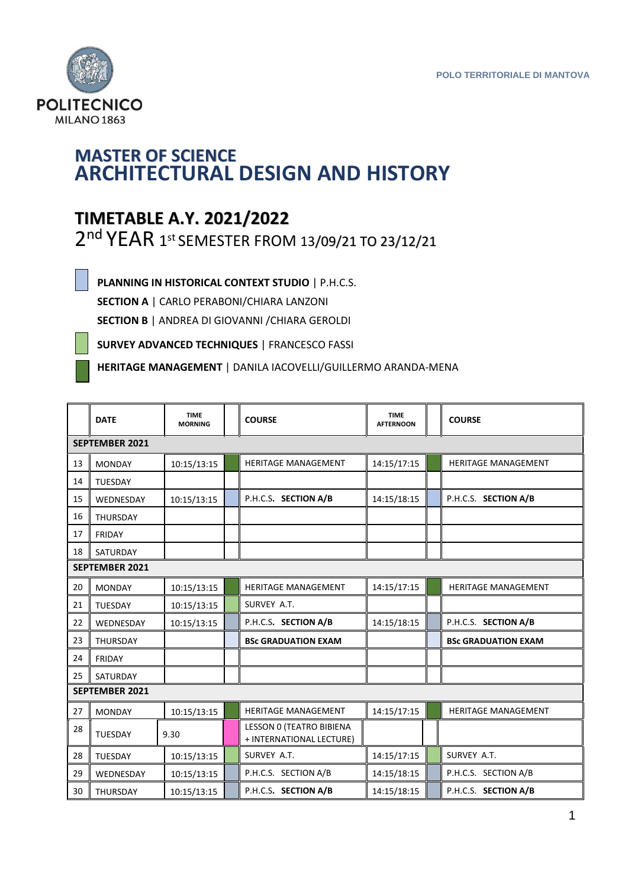

## **MASTER OF SCIENCE ARCHITECTURAL DESIGN AND HISTORY**

## **TIMETABLE A.Y. 2021/2022**

2<sup>nd</sup> YEAR 1st SEMESTER FROM 13/09/21 TO 23/12/21

**PLANNING IN HISTORICAL CONTEXT STUDIO** | P.H.C.S. **SECTION A** | CARLO PERABONI/CHIARA LANZONI

**SECTION B** | ANDREA DI GIOVANNI /CHIARA GEROLDI

**SURVEY ADVANCED TECHNIQUES** | FRANCESCO FASSI

**HERITAGE MANAGEMENT** | DANILA IACOVELLI/GUILLERMO ARANDA-MENA

|                       | <b>DATE</b>           | <b>TIME</b><br><b>MORNING</b> |  | <b>COURSE</b>                                        | <b>TIME</b><br><b>AFTERNOON</b> |  | <b>COURSE</b>              |  |
|-----------------------|-----------------------|-------------------------------|--|------------------------------------------------------|---------------------------------|--|----------------------------|--|
|                       | <b>SEPTEMBER 2021</b> |                               |  |                                                      |                                 |  |                            |  |
| 13                    | <b>MONDAY</b>         | 10:15/13:15                   |  | <b>HERITAGE MANAGEMENT</b>                           | 14:15/17:15                     |  | HERITAGE MANAGEMENT        |  |
| 14                    | <b>TUESDAY</b>        |                               |  |                                                      |                                 |  |                            |  |
| 15                    | WEDNESDAY             | 10:15/13:15                   |  | P.H.C.S. SECTION A/B                                 | 14:15/18:15                     |  | P.H.C.S. SECTION A/B       |  |
| 16                    | <b>THURSDAY</b>       |                               |  |                                                      |                                 |  |                            |  |
| 17                    | <b>FRIDAY</b>         |                               |  |                                                      |                                 |  |                            |  |
| 18                    | SATURDAY              |                               |  |                                                      |                                 |  |                            |  |
|                       | SEPTEMBER 2021        |                               |  |                                                      |                                 |  |                            |  |
| 20                    | <b>MONDAY</b>         | 10:15/13:15                   |  | <b>HERITAGE MANAGEMENT</b>                           | 14:15/17:15                     |  | <b>HERITAGE MANAGEMENT</b> |  |
| 21                    | <b>TUESDAY</b>        | 10:15/13:15                   |  | SURVEY A.T.                                          |                                 |  |                            |  |
| 22                    | WEDNESDAY             | 10:15/13:15                   |  | P.H.C.S. SECTION A/B                                 | 14:15/18:15                     |  | P.H.C.S. SECTION A/B       |  |
| 23                    | <b>THURSDAY</b>       |                               |  | <b>BSc GRADUATION EXAM</b>                           |                                 |  | <b>BSc GRADUATION EXAM</b> |  |
| 24                    | <b>FRIDAY</b>         |                               |  |                                                      |                                 |  |                            |  |
| 25                    | SATURDAY              |                               |  |                                                      |                                 |  |                            |  |
| <b>SEPTEMBER 2021</b> |                       |                               |  |                                                      |                                 |  |                            |  |
| 27                    | <b>MONDAY</b>         | 10:15/13:15                   |  | <b>HERITAGE MANAGEMENT</b>                           | 14:15/17:15                     |  | HERITAGE MANAGEMENT        |  |
| 28                    | <b>TUESDAY</b>        | 9.30                          |  | LESSON 0 (TEATRO BIBIENA<br>+ INTERNATIONAL LECTURE) |                                 |  |                            |  |
| 28                    | <b>TUESDAY</b>        | 10:15/13:15                   |  | SURVEY A.T.                                          | 14:15/17:15                     |  | SURVEY A.T.                |  |
| 29                    | WEDNESDAY             | 10:15/13:15                   |  | P.H.C.S. SECTION A/B                                 | 14:15/18:15                     |  | P.H.C.S. SECTION A/B       |  |
| 30                    | <b>THURSDAY</b>       | 10:15/13:15                   |  | P.H.C.S. SECTION A/B                                 | 14:15/18:15                     |  | P.H.C.S. SECTION A/B       |  |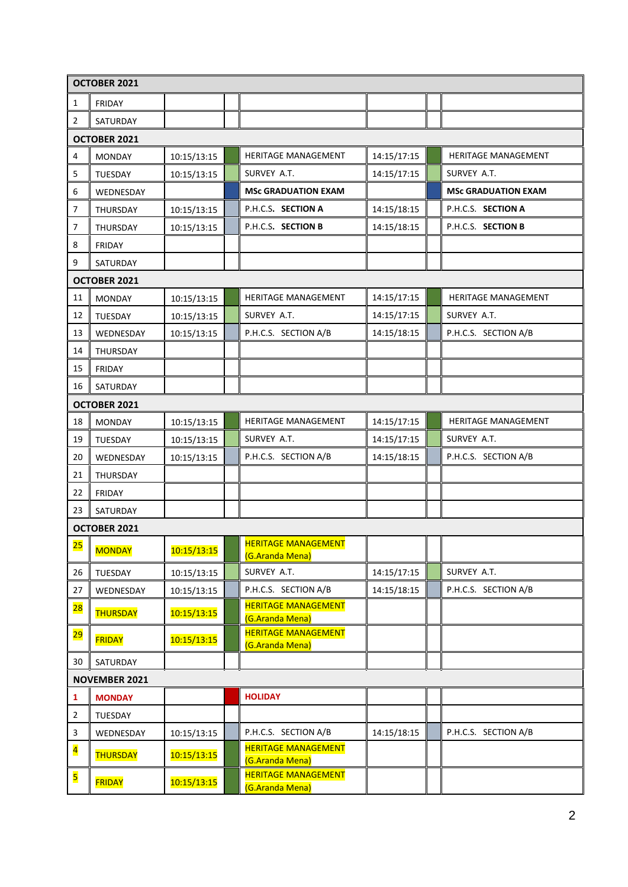|                         | OCTOBER 2021    |             |  |                                               |             |  |                            |
|-------------------------|-----------------|-------------|--|-----------------------------------------------|-------------|--|----------------------------|
| $\mathbf{1}$            | <b>FRIDAY</b>   |             |  |                                               |             |  |                            |
| 2                       | SATURDAY        |             |  |                                               |             |  |                            |
|                         | OCTOBER 2021    |             |  |                                               |             |  |                            |
| 4                       | <b>MONDAY</b>   | 10:15/13:15 |  | HERITAGE MANAGEMENT                           | 14:15/17:15 |  | HERITAGE MANAGEMENT        |
| 5                       | TUESDAY         | 10:15/13:15 |  | SURVEY A.T.                                   | 14:15/17:15 |  | SURVEY A.T.                |
| 6                       | WEDNESDAY       |             |  | <b>MSc GRADUATION EXAM</b>                    |             |  | <b>MSc GRADUATION EXAM</b> |
| 7                       | THURSDAY        | 10:15/13:15 |  | P.H.C.S. SECTION A                            | 14:15/18:15 |  | P.H.C.S. SECTION A         |
| 7                       | THURSDAY        | 10:15/13:15 |  | P.H.C.S. SECTION B                            | 14:15/18:15 |  | P.H.C.S. SECTION B         |
| 8                       | <b>FRIDAY</b>   |             |  |                                               |             |  |                            |
| 9                       | SATURDAY        |             |  |                                               |             |  |                            |
|                         | OCTOBER 2021    |             |  |                                               |             |  |                            |
| 11                      | <b>MONDAY</b>   | 10:15/13:15 |  | <b>HERITAGE MANAGEMENT</b>                    | 14:15/17:15 |  | HERITAGE MANAGEMENT        |
| 12                      | <b>TUESDAY</b>  | 10:15/13:15 |  | SURVEY A.T.                                   | 14:15/17:15 |  | SURVEY A.T.                |
| 13                      | WEDNESDAY       | 10:15/13:15 |  | P.H.C.S. SECTION A/B                          | 14:15/18:15 |  | P.H.C.S. SECTION A/B       |
| 14                      | THURSDAY        |             |  |                                               |             |  |                            |
| 15                      | <b>FRIDAY</b>   |             |  |                                               |             |  |                            |
| 16                      | SATURDAY        |             |  |                                               |             |  |                            |
|                         | OCTOBER 2021    |             |  |                                               |             |  |                            |
| 18                      | <b>MONDAY</b>   | 10:15/13:15 |  | HERITAGE MANAGEMENT                           | 14:15/17:15 |  | HERITAGE MANAGEMENT        |
| 19                      | TUESDAY         | 10:15/13:15 |  | SURVEY A.T.                                   | 14:15/17:15 |  | SURVEY A.T.                |
| 20                      | WEDNESDAY       | 10:15/13:15 |  | P.H.C.S. SECTION A/B                          | 14:15/18:15 |  | P.H.C.S. SECTION A/B       |
| 21                      | THURSDAY        |             |  |                                               |             |  |                            |
| 22                      | <b>FRIDAY</b>   |             |  |                                               |             |  |                            |
| 23                      | SATURDAY        |             |  |                                               |             |  |                            |
| OCTOBER 2021            |                 |             |  |                                               |             |  |                            |
| <mark>25</mark>         | <b>MONDAY</b>   | 10:15/13:15 |  | <b>HERITAGE MANAGEMENT</b><br>(G.Aranda Mena) |             |  |                            |
| 26                      | TUESDAY         | 10:15/13:15 |  | SURVEY A.T.                                   | 14:15/17:15 |  | SURVEY A.T.                |
| 27                      | WEDNESDAY       | 10:15/13:15 |  | P.H.C.S. SECTION A/B                          | 14:15/18:15 |  | P.H.C.S. SECTION A/B       |
| 28                      | <b>THURSDAY</b> | 10:15/13:15 |  | <b>HERITAGE MANAGEMENT</b><br>(G.Aranda Mena) |             |  |                            |
| 29                      | <b>FRIDAY</b>   | 10:15/13:15 |  | <b>HERITAGE MANAGEMENT</b><br>(G.Aranda Mena) |             |  |                            |
| 30                      | SATURDAY        |             |  |                                               |             |  |                            |
| <b>NOVEMBER 2021</b>    |                 |             |  |                                               |             |  |                            |
| $\mathbf{1}$            | <b>MONDAY</b>   |             |  | <b>HOLIDAY</b>                                |             |  |                            |
| $\overline{2}$          | TUESDAY         |             |  |                                               |             |  |                            |
| 3                       | WEDNESDAY       | 10:15/13:15 |  | P.H.C.S. SECTION A/B                          | 14:15/18:15 |  | P.H.C.S. SECTION A/B       |
| $\overline{\mathbf{4}}$ | <b>THURSDAY</b> | 10:15/13:15 |  | <b>HERITAGE MANAGEMENT</b><br>(G.Aranda Mena) |             |  |                            |
| 5                       | <b>FRIDAY</b>   | 10:15/13:15 |  | <b>HERITAGE MANAGEMENT</b><br>(G.Aranda Mena) |             |  |                            |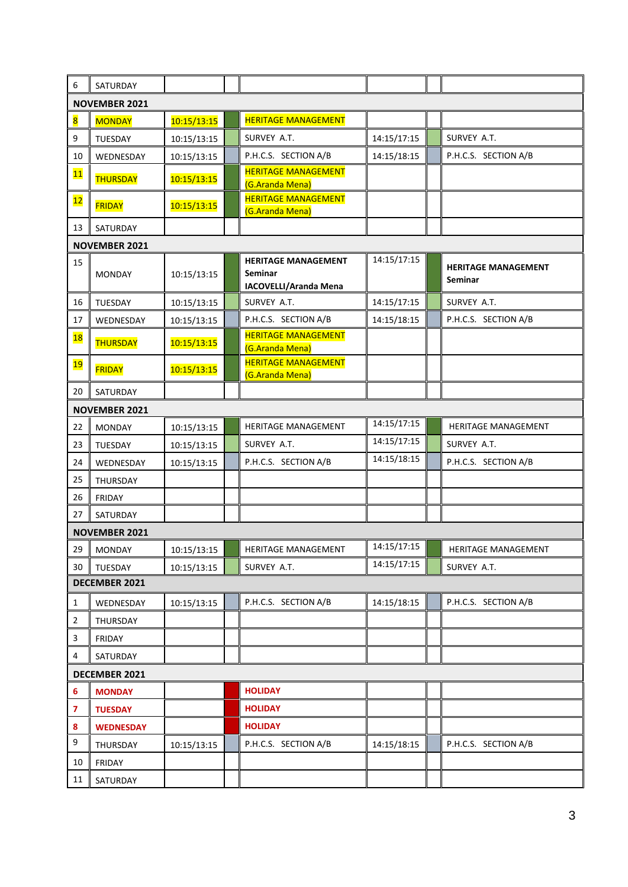| 6                       | SATURDAY             |             |  |                                                                |             |  |                                              |
|-------------------------|----------------------|-------------|--|----------------------------------------------------------------|-------------|--|----------------------------------------------|
| <b>NOVEMBER 2021</b>    |                      |             |  |                                                                |             |  |                                              |
| $\overline{\mathbf{8}}$ | <b>MONDAY</b>        | 10:15/13:15 |  | <b>HERITAGE MANAGEMENT</b>                                     |             |  |                                              |
| 9                       | TUESDAY              | 10:15/13:15 |  | SURVEY A.T.                                                    | 14:15/17:15 |  | SURVEY A.T.                                  |
| 10                      | WEDNESDAY            | 10:15/13:15 |  | P.H.C.S. SECTION A/B                                           | 14:15/18:15 |  | P.H.C.S. SECTION A/B                         |
| 11                      | THURSDAY             | 10:15/13:15 |  | <b>HERITAGE MANAGEMENT</b><br>(G.Aranda Mena)                  |             |  |                                              |
| 12                      | <b>FRIDAY</b>        | 10:15/13:15 |  | <b>HERITAGE MANAGEMENT</b><br>(G.Aranda Mena)                  |             |  |                                              |
| 13                      | SATURDAY             |             |  |                                                                |             |  |                                              |
|                         | <b>NOVEMBER 2021</b> |             |  |                                                                |             |  |                                              |
| 15                      | <b>MONDAY</b>        | 10:15/13:15 |  | <b>HERITAGE MANAGEMENT</b><br>Seminar<br>IACOVELLI/Aranda Mena | 14:15/17:15 |  | <b>HERITAGE MANAGEMENT</b><br><b>Seminar</b> |
| 16                      | TUESDAY              | 10:15/13:15 |  | SURVEY A.T.                                                    | 14:15/17:15 |  | SURVEY A.T.                                  |
| 17                      | WEDNESDAY            | 10:15/13:15 |  | P.H.C.S. SECTION A/B                                           | 14:15/18:15 |  | P.H.C.S. SECTION A/B                         |
| 18                      | THURSDAY             | 10:15/13:15 |  | <b>HERITAGE MANAGEMENT</b><br>(G.Aranda Mena)                  |             |  |                                              |
| 19                      | <b>FRIDAY</b>        | 10:15/13:15 |  | <b>HERITAGE MANAGEMENT</b><br>(G.Aranda Mena)                  |             |  |                                              |
| 20                      | SATURDAY             |             |  |                                                                |             |  |                                              |
|                         | <b>NOVEMBER 2021</b> |             |  |                                                                |             |  |                                              |
| 22                      | <b>MONDAY</b>        | 10:15/13:15 |  | HERITAGE MANAGEMENT                                            | 14:15/17:15 |  | HERITAGE MANAGEMENT                          |
| 23                      | TUESDAY              | 10:15/13:15 |  | SURVEY A.T.                                                    | 14:15/17:15 |  | SURVEY A.T.                                  |
| 24                      | WEDNESDAY            | 10:15/13:15 |  | P.H.C.S. SECTION A/B                                           | 14:15/18:15 |  | P.H.C.S. SECTION A/B                         |
| 25                      | THURSDAY             |             |  |                                                                |             |  |                                              |
| 26                      | <b>FRIDAY</b>        |             |  |                                                                |             |  |                                              |
| 27                      | SATURDAY             |             |  |                                                                |             |  |                                              |
|                         | <b>NOVEMBER 2021</b> |             |  |                                                                |             |  |                                              |
| 29                      | <b>MONDAY</b>        | 10:15/13:15 |  | <b>HERITAGE MANAGEMENT</b>                                     | 14:15/17:15 |  | <b>HERITAGE MANAGEMENT</b>                   |
| 30                      | TUESDAY              | 10:15/13:15 |  | SURVEY A.T.                                                    | 14:15/17:15 |  | SURVEY A.T.                                  |
| DECEMBER 2021           |                      |             |  |                                                                |             |  |                                              |
| $\mathbf{1}$            | WEDNESDAY            | 10:15/13:15 |  | P.H.C.S. SECTION A/B                                           | 14:15/18:15 |  | P.H.C.S. SECTION A/B                         |
| $\overline{2}$          | THURSDAY             |             |  |                                                                |             |  |                                              |
| 3                       | FRIDAY               |             |  |                                                                |             |  |                                              |
| 4                       | SATURDAY             |             |  |                                                                |             |  |                                              |
| DECEMBER 2021           |                      |             |  |                                                                |             |  |                                              |
| 6                       | <b>MONDAY</b>        |             |  | <b>HOLIDAY</b>                                                 |             |  |                                              |
| 7                       | <b>TUESDAY</b>       |             |  | <b>HOLIDAY</b>                                                 |             |  |                                              |
| 8                       | <b>WEDNESDAY</b>     |             |  | <b>HOLIDAY</b>                                                 |             |  |                                              |
| 9                       | THURSDAY             | 10:15/13:15 |  | P.H.C.S. SECTION A/B                                           | 14:15/18:15 |  | P.H.C.S. SECTION A/B                         |
| 10                      | FRIDAY               |             |  |                                                                |             |  |                                              |
| 11                      | SATURDAY             |             |  |                                                                |             |  |                                              |